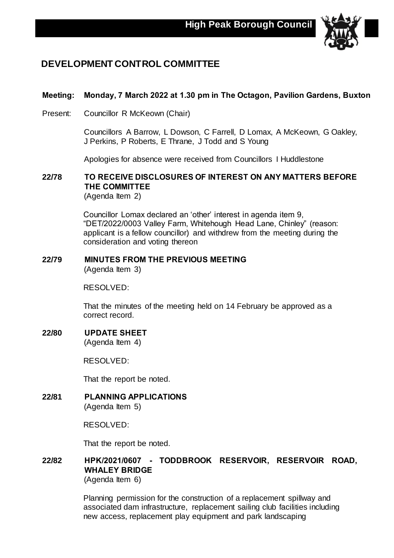

# **DEVELOPMENT CONTROL COMMITTEE**

## **Meeting: Monday, 7 March 2022 at 1.30 pm in The Octagon, Pavilion Gardens, Buxton**

Present: Councillor R McKeown (Chair)

Councillors A Barrow, L Dowson, C Farrell, D Lomax, A McKeown, G Oakley, J Perkins, P Roberts, E Thrane, J Todd and S Young

Apologies for absence were received from Councillors I Huddlestone

## **22/78 TO RECEIVE DISCLOSURES OF INTEREST ON ANY MATTERS BEFORE THE COMMITTEE**

(Agenda Item 2)

Councillor Lomax declared an 'other' interest in agenda item 9, "DET/2022/0003 Valley Farm, Whitehough Head Lane, Chinley" (reason: applicant is a fellow councillor) and withdrew from the meeting during the consideration and voting thereon

### **22/79 MINUTES FROM THE PREVIOUS MEETING** (Agenda Item 3)

RESOLVED:

That the minutes of the meeting held on 14 February be approved as a correct record.

**22/80 UPDATE SHEET** (Agenda Item 4)

RESOLVED:

That the report be noted.

**22/81 PLANNING APPLICATIONS** (Agenda Item 5)

RESOLVED:

That the report be noted.

## **22/82 HPK/2021/0607 - TODDBROOK RESERVOIR, RESERVOIR ROAD, WHALEY BRIDGE**

(Agenda Item 6)

Planning permission for the construction of a replacement spillway and associated dam infrastructure, replacement sailing club facilities including new access, replacement play equipment and park landscaping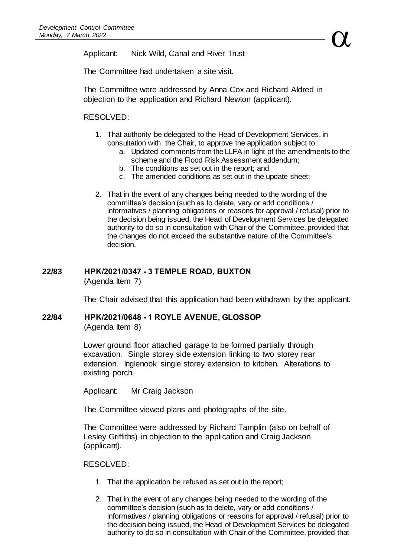Applicant: Nick Wild, Canal and River Trust

The Committee had undertaken a site visit.

The Committee were addressed by Anna Cox and Richard Aldred in objection to the application and Richard Newton (applicant).

### RESOLVED:

- 1. That authority be delegated to the Head of Development Services, in consultation with the Chair, to approve the application subject to:
	- a. Updated comments from the LLFA in light of the amendments to the scheme and the Flood Risk Assessment addendum;
	- b. The conditions as set out in the report; and
	- c. The amended conditions as set out in the update sheet;
- 2. That in the event of any changes being needed to the wording of the committee's decision (such as to delete, vary or add conditions / informatives / planning obligations or reasons for approval / refusal) prior to the decision being issued, the Head of Development Services be delegated authority to do so in consultation with Chair of the Committee, provided that the changes do not exceed the substantive nature of the Committee's decision.

# **22/83 HPK/2021/0347 - 3 TEMPLE ROAD, BUXTON**

(Agenda Item 7)

The Chair advised that this application had been withdrawn by the applicant.

### **22/84 HPK/2021/0648 - 1 ROYLE AVENUE, GLOSSOP**

(Agenda Item 8)

Lower ground floor attached garage to be formed partially through excavation. Single storey side extension linking to two storey rear extension. Inglenook single storey extension to kitchen. Alterations to existing porch.

Applicant: Mr Craig Jackson

The Committee viewed plans and photographs of the site.

The Committee were addressed by Richard Tamplin (also on behalf of Lesley Griffiths) in objection to the application and Craig Jackson (applicant).

RESOLVED:

- 1. That the application be refused as set out in the report;
- 2. That in the event of any changes being needed to the wording of the committee's decision (such as to delete, vary or add conditions / informatives / planning obligations or reasons for approval / refusal) prior to the decision being issued, the Head of Development Services be delegated authority to do so in consultation with Chair of the Committee, provided that